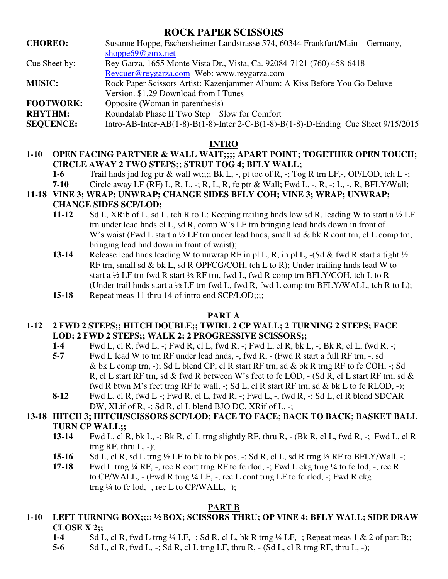# **ROCK PAPER SCISSORS**

| <b>CHOREO:</b>   | Susanne Hoppe, Eschersheimer Landstrasse 574, 60344 Frankfurt/Main – Germany, |
|------------------|-------------------------------------------------------------------------------|
|                  | shoppe $69@gmx.net$                                                           |
| Cue Sheet by:    | Rey Garza, 1655 Monte Vista Dr., Vista, Ca. 92084-7121 (760) 458-6418         |
|                  | Reycuer@reygarza.com Web: www.reygarza.com                                    |
| <b>MUSIC:</b>    | Rock Paper Scissors Artist: Kazenjammer Album: A Kiss Before You Go Deluxe    |
|                  | Version. \$1.29 Download from I Tunes                                         |
| <b>FOOTWORK:</b> | Opposite (Woman in parenthesis)                                               |
| <b>RHYTHM:</b>   | Roundalab Phase II Two Step Slow for Comfort                                  |

**SEQUENCE:** Intro-AB-Inter-AB(1-8)-B(1-8)-Inter 2-C-B(1-8)-B(1-8)-D-Ending Cue Sheet 9/15/2015

## **INTRO**

## **1-10 OPEN FACING PARTNER & WALL WAIT;;;; APART POINT; TOGETHER OPEN TOUCH; CIRCLE AWAY 2 TWO STEPS;; STRUT TOG 4; BFLY WALL;**

**1-6** Trail hnds jnd fcg ptr & wall wt;;;; Bk L, -, pt toe of R, -; Tog R trn LF,-, OP/LOD, tch L -; **7-10** Circle away LF (RF) L, R, L, -; R, L, R, fc ptr & Wall; Fwd L, -, R, -; L, -, R, BFLY/Wall;

# **11-18 VINE 3; WRAP; UNWRAP; CHANGE SIDES BFLY COH; VINE 3; WRAP; UNWRAP;**

# **CHANGE SIDES SCP/LOD;**

- **11-12** Sd L, XRib of L, sd L, tch R to L; Keeping trailing hnds low sd R, leading W to start a ½ LF trn under lead hnds cl L, sd R, comp W's LF trn bringing lead hnds down in front of W's waist (Fwd L start a  $\frac{1}{2}$  LF trn under lead hnds, small sd & bk R cont trn, cl L comp trn, bringing lead hnd down in front of waist);
- **13-14** Release lead hnds leading W to unwrap RF in pl L, R, in pl L, -(Sd & fwd R start a tight  $\frac{1}{2}$  RF trn, small sd & bk L, sd R OPFCG/COH, tch L to R); Under trailing hnds lead W to start a  $\frac{1}{2}$  LF trn fwd R start  $\frac{1}{2}$  RF trn, fwd L, fwd R comp trn BFLY/COH, tch L to R (Under trail hnds start a  $\frac{1}{2}$  LF trn fwd L, fwd R, fwd L comp trn BFLY/WALL, tch R to L);
- **15-18** Repeat meas 11 thru 14 of intro end SCP/LOD;;;;

#### **PART A**

#### **1-12 2 FWD 2 STEPS;; HITCH DOUBLE;; TWIRL 2 CP WALL; 2 TURNING 2 STEPS; FACE LOD; 2 FWD 2 STEPS;; WALK 2; 2 PROGRESSIVE SCISSORS;;**

- **1-4** Fwd L, cl R, fwd L, -; Fwd R, cl L, fwd R, -; Fwd L, cl R, bk L, -; Bk R, cl L, fwd R, -;
- **5-7** Fwd L lead W to trn RF under lead hnds, -, fwd R, (Fwd R start a full RF trn, -, sd & bk L comp trn, -); Sd L blend CP, cl R start RF trn, sd & bk R trng RF to fc COH, -; Sd R, cl L start RF trn, sd & fwd R between W's feet to fc LOD,  $-$  (Sd R, cl L start RF trn, sd & fwd R btwn M's feet trng RF fc wall, -; Sd L, cl R start RF trn, sd & bk L to fc RLOD, -);
- **8-12** Fwd L, cl R, fwd L -; Fwd R, cl L, fwd R, -; Fwd L, -, fwd R, -; Sd L, cl R blend SDCAR DW, XLif of R, -; Sd R, cl L blend BJO DC, XRif of L, -;

# **13-18 HITCH 3; HITCH/SCISSORS SCP/LOD; FACE TO FACE; BACK TO BACK; BASKET BALL TURN CP WALL;;**

- **13-14** Fwd L, cl R, bk L, -; Bk R, cl L trng slightly RF, thru R, (Bk R, cl L, fwd R, -; Fwd L, cl R trng RF, thru  $L$ ,  $-$ );
- **15-16** Sd L, cl R, sd L trng  $\frac{1}{2}$  LF to bk to bk pos,  $\frac{1}{2}$ ; Sd R, cl L, sd R trng  $\frac{1}{2}$  RF to BFLY/Wall,  $\frac{1}{2}$ ;
- **17-18** Fwd L trng ¼ RF, -, rec R cont trng RF to fc rlod, -; Fwd L ckg trng ¼ to fc lod, -, rec R to CP/WALL,  $-$  (Fwd R trng  $\frac{1}{4}$  LF,  $-$ , rec L cont trng LF to fc rlod,  $-$ ; Fwd R ckg trng  $\frac{1}{4}$  to fc lod, -, rec L to CP/WALL, -);

#### **PART B**

# **1-10 LEFT TURNING BOX;;;; ½ BOX; SCISSORS THRU; OP VINE 4; BFLY WALL; SIDE DRAW CLOSE X 2;;**

- **1-4** Sd L, cl R, fwd L trng ¼ LF, -; Sd R, cl L, bk R trng ¼ LF, -; Repeat meas 1 & 2 of part B;;
- **5-6** Sd L, cl R, fwd L, -; Sd R, cl L trng LF, thru R, (Sd L, cl R trng RF, thru L, -);